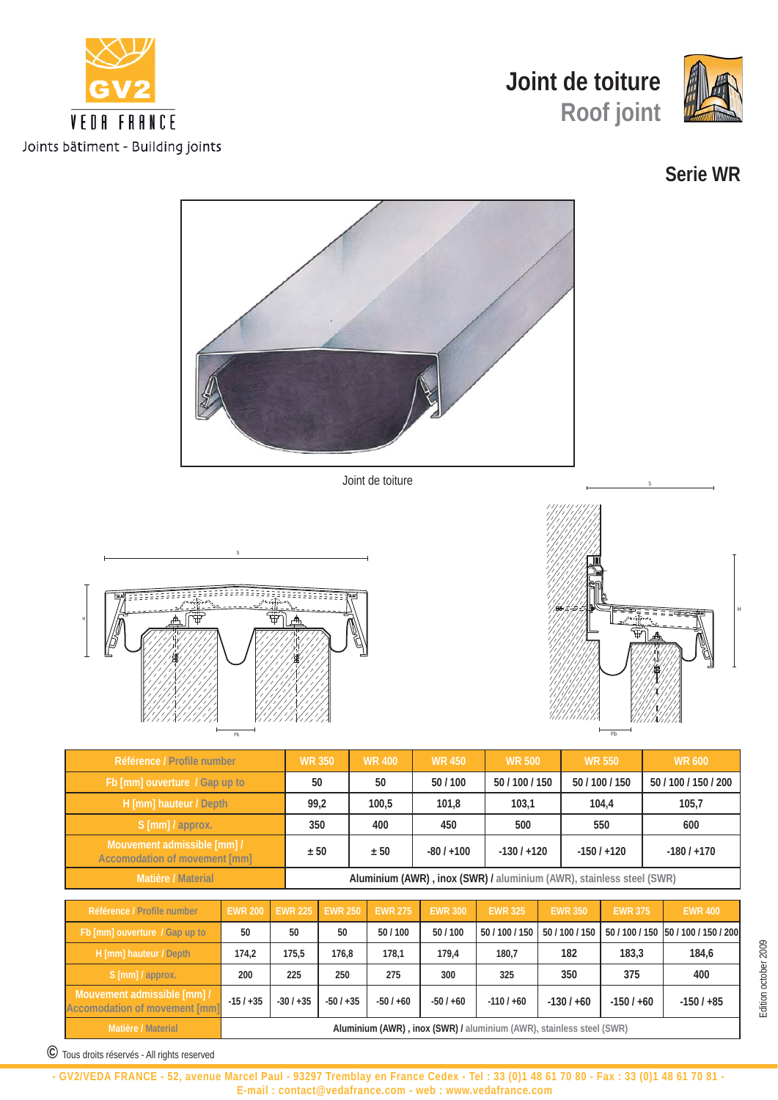





## **Serie WR**



|  | Référence / Profile number                                          | <b>EWR 200</b>                                                       | <b>EWR 225</b> | <b>EWR 250</b> | <b>EWR 275</b> | <b>EWR 300</b> | <b>EWR 325</b> | <b>EWR 350</b> | <b>EWR 375</b> | <b>EWR 400</b>                      |
|--|---------------------------------------------------------------------|----------------------------------------------------------------------|----------------|----------------|----------------|----------------|----------------|----------------|----------------|-------------------------------------|
|  | Fb [mm] ouverture / Gap up to                                       | 50                                                                   | 50             | 50             | 50/100         | 50/100         | 50 / 100 / 150 | 50 / 100 / 150 |                | 50 / 100 / 150 50 / 100 / 150 / 200 |
|  | H [mm] hauteur / Depth                                              | 174.2                                                                | 175.5          | 176.8          | 178.1          | 179.4          | 180.7          | 182            | 183.3          | 184,6                               |
|  | S [mm] / approx.                                                    | 200                                                                  | 225            | 250            | 275            | 300            | 325            | 350            | 375            | 400                                 |
|  | Mouvement admissible [mm] /<br><b>Accomodation of movement [mm]</b> | $-15/ + 35$                                                          | $-30/+35$      | $-50/+35$      | $-50/+60$      | $-50/+60$      | $-110/+60$     | $-130/+60$     | $-150/+60$     | $-150/ + 85$                        |
|  | Matière / Material                                                  | Aluminium (AWR), inox (SWR) / aluminium (AWR), stainless steel (SWR) |                |                |                |                |                |                |                |                                     |

Edition october 2009 Edition october 2009

**©** Tous droits réservés - All rights reserved

H

**- GV2/VEDA FRANCE - 52, avenue Marcel Paul - 93297 Tremblay en France Cedex - Tel : 33 (0)1 48 61 70 80 - Fax : 33 (0)1 48 61 70 81 - E-mail : contact@vedafrance.com - web : www.vedafrance.com**